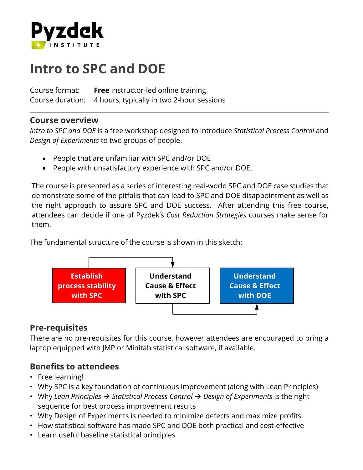

# **Intro to SPC and DOE**

Course format: **Free** instructor-led online training Course duration: 4 hours, typically in two 2-hour sessions

#### **Course overview**

*Intro to SPC and DOE* is a free workshop designed to introduce *Statistical Process Control* and *Design of Experiments* to two groups of people.

- People that are unfamiliar with SPC and/or DOE
- People with unsatisfactory experience with SPC and/or DOE.

The course is presented as a series of interesting real-world SPC and DOE case studies that demonstrate some of the pitfalls that can lead to SPC and DOE disappointment as well as the right approach to assure SPC and DOE success. After attending this free course, attendees can decide if one of Pyzdek's *Cost Reduction Strategies* courses make sense for them.

The fundamental structure of the course is shown in this sketch:



# **Pre-requisites**

There are no pre-requisites for this course, however attendees are encouraged to bring a laptop equipped with JMP or Minitab statistical software, if available.

## **Benefits to attendees**

- Free learning!
- Why SPC is a key foundation of continuous improvement (along with Lean Principles)
- Why *Lean Principles Statistical Process Control Design of Experiments* is the right sequence for best process improvement results
- Why Design of Experiments is needed to minimize defects and maximize profits
- How statistical software has made SPC and DOE both practical and cost-effective
- Learn useful baseline statistical principles